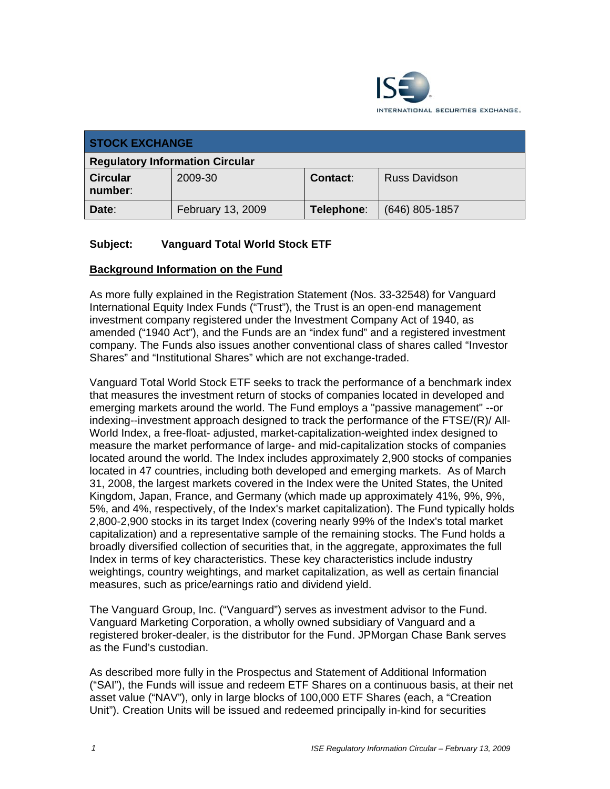

| <b>STOCK EXCHANGE</b>                  |                   |                 |                      |
|----------------------------------------|-------------------|-----------------|----------------------|
| <b>Regulatory Information Circular</b> |                   |                 |                      |
| <b>Circular</b><br>number:             | 2009-30           | <b>Contact:</b> | <b>Russ Davidson</b> |
| Date:                                  | February 13, 2009 | Telephone:      | (646) 805-1857       |

## **Subject: Vanguard Total World Stock ETF**

#### **Background Information on the Fund**

As more fully explained in the Registration Statement (Nos. 33-32548) for Vanguard International Equity Index Funds ("Trust"), the Trust is an open-end management investment company registered under the Investment Company Act of 1940, as amended ("1940 Act"), and the Funds are an "index fund" and a registered investment company. The Funds also issues another conventional class of shares called "Investor Shares" and "Institutional Shares" which are not exchange-traded.

Vanguard Total World Stock ETF seeks to track the performance of a benchmark index that measures the investment return of stocks of companies located in developed and emerging markets around the world. The Fund employs a "passive management" --or indexing--investment approach designed to track the performance of the FTSE/(R)/ All-World Index, a free-float- adjusted, market-capitalization-weighted index designed to measure the market performance of large- and mid-capitalization stocks of companies located around the world. The Index includes approximately 2,900 stocks of companies located in 47 countries, including both developed and emerging markets. As of March 31, 2008, the largest markets covered in the Index were the United States, the United Kingdom, Japan, France, and Germany (which made up approximately 41%, 9%, 9%, 5%, and 4%, respectively, of the Index's market capitalization). The Fund typically holds 2,800-2,900 stocks in its target Index (covering nearly 99% of the Index's total market capitalization) and a representative sample of the remaining stocks. The Fund holds a broadly diversified collection of securities that, in the aggregate, approximates the full Index in terms of key characteristics. These key characteristics include industry weightings, country weightings, and market capitalization, as well as certain financial measures, such as price/earnings ratio and dividend yield.

The Vanguard Group, Inc. ("Vanguard") serves as investment advisor to the Fund. Vanguard Marketing Corporation, a wholly owned subsidiary of Vanguard and a registered broker-dealer, is the distributor for the Fund. JPMorgan Chase Bank serves as the Fund's custodian.

As described more fully in the Prospectus and Statement of Additional Information ("SAI"), the Funds will issue and redeem ETF Shares on a continuous basis, at their net asset value ("NAV"), only in large blocks of 100,000 ETF Shares (each, a "Creation Unit"). Creation Units will be issued and redeemed principally in-kind for securities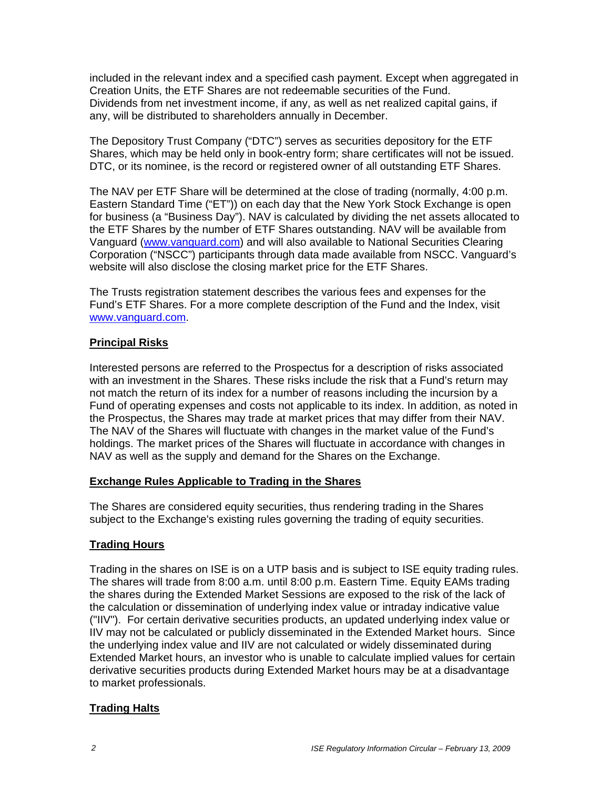included in the relevant index and a specified cash payment. Except when aggregated in Creation Units, the ETF Shares are not redeemable securities of the Fund. Dividends from net investment income, if any, as well as net realized capital gains, if any, will be distributed to shareholders annually in December.

The Depository Trust Company ("DTC") serves as securities depository for the ETF Shares, which may be held only in book-entry form; share certificates will not be issued. DTC, or its nominee, is the record or registered owner of all outstanding ETF Shares.

The NAV per ETF Share will be determined at the close of trading (normally, 4:00 p.m. Eastern Standard Time ("ET")) on each day that the New York Stock Exchange is open for business (a "Business Day"). NAV is calculated by dividing the net assets allocated to the ETF Shares by the number of ETF Shares outstanding. NAV will be available from Vanguard (www.vanguard.com) and will also available to National Securities Clearing Corporation ("NSCC") participants through data made available from NSCC. Vanguard's website will also disclose the closing market price for the ETF Shares.

The Trusts registration statement describes the various fees and expenses for the Fund's ETF Shares. For a more complete description of the Fund and the Index, visit www.vanguard.com.

#### **Principal Risks**

Interested persons are referred to the Prospectus for a description of risks associated with an investment in the Shares. These risks include the risk that a Fund's return may not match the return of its index for a number of reasons including the incursion by a Fund of operating expenses and costs not applicable to its index. In addition, as noted in the Prospectus, the Shares may trade at market prices that may differ from their NAV. The NAV of the Shares will fluctuate with changes in the market value of the Fund's holdings. The market prices of the Shares will fluctuate in accordance with changes in NAV as well as the supply and demand for the Shares on the Exchange.

#### **Exchange Rules Applicable to Trading in the Shares**

The Shares are considered equity securities, thus rendering trading in the Shares subject to the Exchange's existing rules governing the trading of equity securities.

## **Trading Hours**

Trading in the shares on ISE is on a UTP basis and is subject to ISE equity trading rules. The shares will trade from 8:00 a.m. until 8:00 p.m. Eastern Time. Equity EAMs trading the shares during the Extended Market Sessions are exposed to the risk of the lack of the calculation or dissemination of underlying index value or intraday indicative value ("IIV"). For certain derivative securities products, an updated underlying index value or IIV may not be calculated or publicly disseminated in the Extended Market hours. Since the underlying index value and IIV are not calculated or widely disseminated during Extended Market hours, an investor who is unable to calculate implied values for certain derivative securities products during Extended Market hours may be at a disadvantage to market professionals.

## **Trading Halts**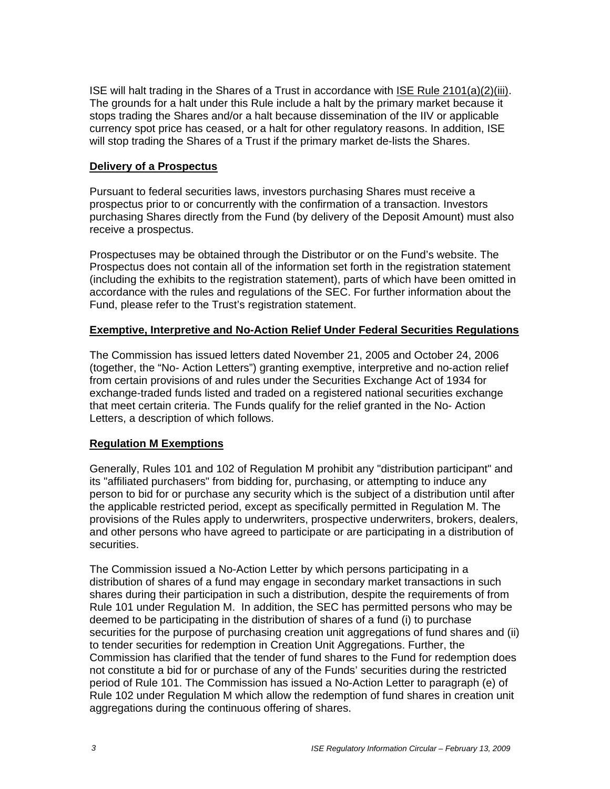ISE will halt trading in the Shares of a Trust in accordance with ISE Rule 2101(a)(2)(iii). The grounds for a halt under this Rule include a halt by the primary market because it stops trading the Shares and/or a halt because dissemination of the IIV or applicable currency spot price has ceased, or a halt for other regulatory reasons. In addition, ISE will stop trading the Shares of a Trust if the primary market de-lists the Shares.

#### **Delivery of a Prospectus**

Pursuant to federal securities laws, investors purchasing Shares must receive a prospectus prior to or concurrently with the confirmation of a transaction. Investors purchasing Shares directly from the Fund (by delivery of the Deposit Amount) must also receive a prospectus.

Prospectuses may be obtained through the Distributor or on the Fund's website. The Prospectus does not contain all of the information set forth in the registration statement (including the exhibits to the registration statement), parts of which have been omitted in accordance with the rules and regulations of the SEC. For further information about the Fund, please refer to the Trust's registration statement.

#### **Exemptive, Interpretive and No-Action Relief Under Federal Securities Regulations**

The Commission has issued letters dated November 21, 2005 and October 24, 2006 (together, the "No- Action Letters") granting exemptive, interpretive and no-action relief from certain provisions of and rules under the Securities Exchange Act of 1934 for exchange-traded funds listed and traded on a registered national securities exchange that meet certain criteria. The Funds qualify for the relief granted in the No- Action Letters, a description of which follows.

#### **Regulation M Exemptions**

Generally, Rules 101 and 102 of Regulation M prohibit any "distribution participant" and its "affiliated purchasers" from bidding for, purchasing, or attempting to induce any person to bid for or purchase any security which is the subject of a distribution until after the applicable restricted period, except as specifically permitted in Regulation M. The provisions of the Rules apply to underwriters, prospective underwriters, brokers, dealers, and other persons who have agreed to participate or are participating in a distribution of securities.

The Commission issued a No-Action Letter by which persons participating in a distribution of shares of a fund may engage in secondary market transactions in such shares during their participation in such a distribution, despite the requirements of from Rule 101 under Regulation M. In addition, the SEC has permitted persons who may be deemed to be participating in the distribution of shares of a fund (i) to purchase securities for the purpose of purchasing creation unit aggregations of fund shares and (ii) to tender securities for redemption in Creation Unit Aggregations. Further, the Commission has clarified that the tender of fund shares to the Fund for redemption does not constitute a bid for or purchase of any of the Funds' securities during the restricted period of Rule 101. The Commission has issued a No-Action Letter to paragraph (e) of Rule 102 under Regulation M which allow the redemption of fund shares in creation unit aggregations during the continuous offering of shares.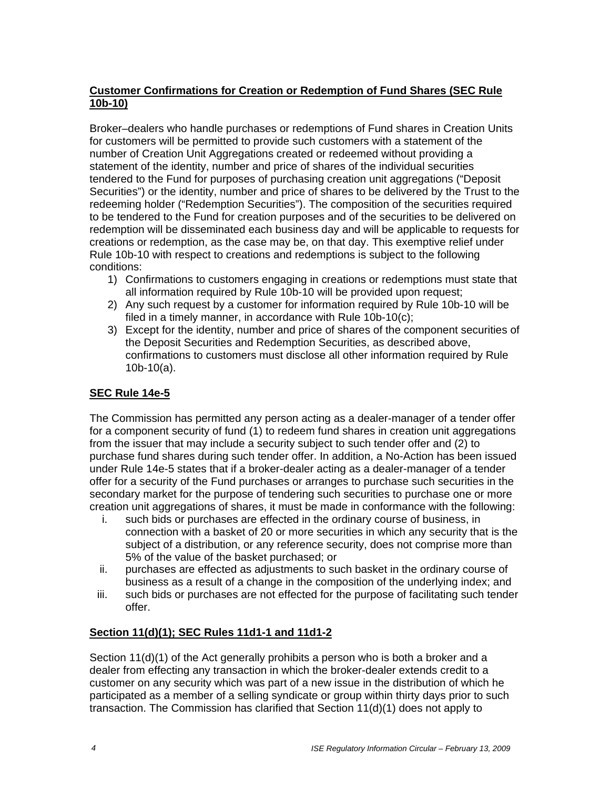## **Customer Confirmations for Creation or Redemption of Fund Shares (SEC Rule 10b-10)**

Broker–dealers who handle purchases or redemptions of Fund shares in Creation Units for customers will be permitted to provide such customers with a statement of the number of Creation Unit Aggregations created or redeemed without providing a statement of the identity, number and price of shares of the individual securities tendered to the Fund for purposes of purchasing creation unit aggregations ("Deposit Securities") or the identity, number and price of shares to be delivered by the Trust to the redeeming holder ("Redemption Securities"). The composition of the securities required to be tendered to the Fund for creation purposes and of the securities to be delivered on redemption will be disseminated each business day and will be applicable to requests for creations or redemption, as the case may be, on that day. This exemptive relief under Rule 10b-10 with respect to creations and redemptions is subject to the following conditions:

- 1) Confirmations to customers engaging in creations or redemptions must state that all information required by Rule 10b-10 will be provided upon request;
- 2) Any such request by a customer for information required by Rule 10b-10 will be filed in a timely manner, in accordance with Rule 10b-10(c);
- 3) Except for the identity, number and price of shares of the component securities of the Deposit Securities and Redemption Securities, as described above, confirmations to customers must disclose all other information required by Rule 10b-10(a).

## **SEC Rule 14e-5**

The Commission has permitted any person acting as a dealer-manager of a tender offer for a component security of fund (1) to redeem fund shares in creation unit aggregations from the issuer that may include a security subject to such tender offer and (2) to purchase fund shares during such tender offer. In addition, a No-Action has been issued under Rule 14e-5 states that if a broker-dealer acting as a dealer-manager of a tender offer for a security of the Fund purchases or arranges to purchase such securities in the secondary market for the purpose of tendering such securities to purchase one or more creation unit aggregations of shares, it must be made in conformance with the following:

- i. such bids or purchases are effected in the ordinary course of business, in connection with a basket of 20 or more securities in which any security that is the subject of a distribution, or any reference security, does not comprise more than 5% of the value of the basket purchased; or
- ii. purchases are effected as adjustments to such basket in the ordinary course of business as a result of a change in the composition of the underlying index; and
- iii. such bids or purchases are not effected for the purpose of facilitating such tender offer.

#### **Section 11(d)(1); SEC Rules 11d1-1 and 11d1-2**

Section 11(d)(1) of the Act generally prohibits a person who is both a broker and a dealer from effecting any transaction in which the broker-dealer extends credit to a customer on any security which was part of a new issue in the distribution of which he participated as a member of a selling syndicate or group within thirty days prior to such transaction. The Commission has clarified that Section 11(d)(1) does not apply to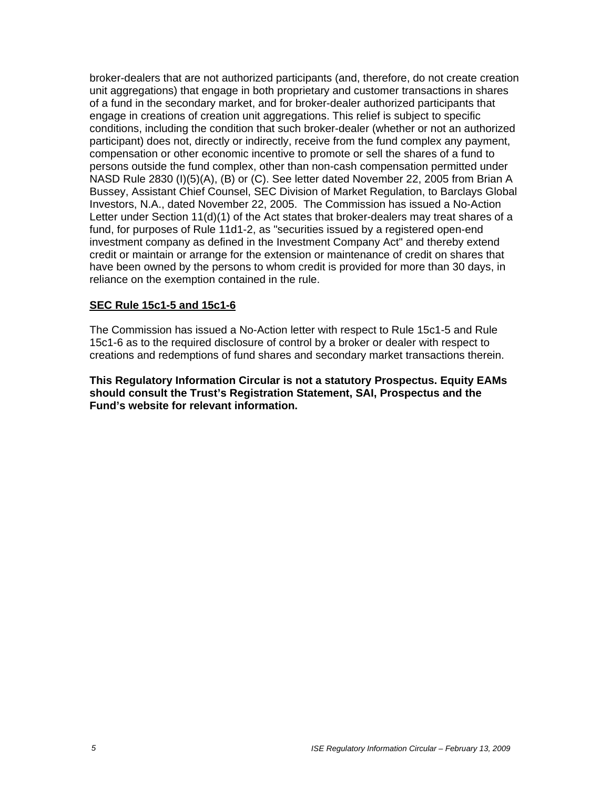broker-dealers that are not authorized participants (and, therefore, do not create creation unit aggregations) that engage in both proprietary and customer transactions in shares of a fund in the secondary market, and for broker-dealer authorized participants that engage in creations of creation unit aggregations. This relief is subject to specific conditions, including the condition that such broker-dealer (whether or not an authorized participant) does not, directly or indirectly, receive from the fund complex any payment, compensation or other economic incentive to promote or sell the shares of a fund to persons outside the fund complex, other than non-cash compensation permitted under NASD Rule 2830 (I)(5)(A), (B) or (C). See letter dated November 22, 2005 from Brian A Bussey, Assistant Chief Counsel, SEC Division of Market Regulation, to Barclays Global Investors, N.A., dated November 22, 2005. The Commission has issued a No-Action Letter under Section 11(d)(1) of the Act states that broker-dealers may treat shares of a fund, for purposes of Rule 11d1-2, as "securities issued by a registered open-end investment company as defined in the Investment Company Act" and thereby extend credit or maintain or arrange for the extension or maintenance of credit on shares that have been owned by the persons to whom credit is provided for more than 30 days, in reliance on the exemption contained in the rule.

#### **SEC Rule 15c1-5 and 15c1-6**

The Commission has issued a No-Action letter with respect to Rule 15c1-5 and Rule 15c1-6 as to the required disclosure of control by a broker or dealer with respect to creations and redemptions of fund shares and secondary market transactions therein.

**This Regulatory Information Circular is not a statutory Prospectus. Equity EAMs should consult the Trust's Registration Statement, SAI, Prospectus and the Fund's website for relevant information.**